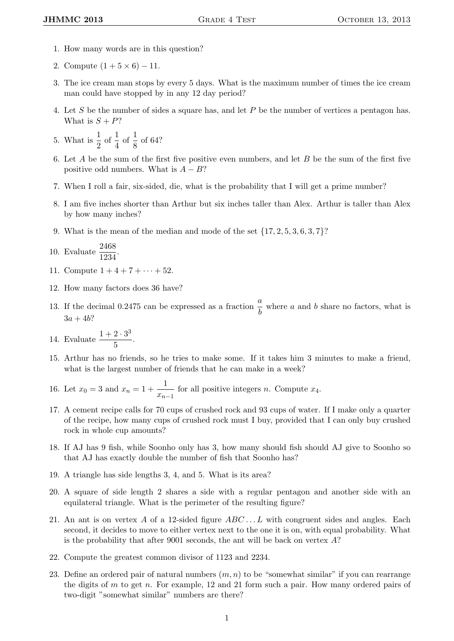- 1. How many words are in this question?
- 2. Compute  $(1 + 5 \times 6) 11$ .
- 3. The ice cream man stops by every 5 days. What is the maximum number of times the ice cream man could have stopped by in any 12 day period?
- 4. Let S be the number of sides a square has, and let P be the number of vertices a pentagon has. What is  $S + P$ ?
- 5. What is  $\frac{1}{2}$  of  $\frac{1}{4}$  of  $\frac{1}{8}$  of 64?
- 6. Let A be the sum of the first five positive even numbers, and let B be the sum of the first five positive odd numbers. What is  $A - B$ ?
- 7. When I roll a fair, six-sided, die, what is the probability that I will get a prime number?
- 8. I am five inches shorter than Arthur but six inches taller than Alex. Arthur is taller than Alex by how many inches?
- 9. What is the mean of the median and mode of the set  $\{17, 2, 5, 3, 6, 3, 7\}$ ?
- 10. Evaluate  $\frac{2468}{1234}$ .
- 11. Compute  $1 + 4 + 7 + \cdots + 52$ .
- 12. How many factors does 36 have?
- 13. If the decimal 0.2475 can be expressed as a fraction  $\frac{a}{b}$  where a and b share no factors, what is  $3a + 4b$ ?
- 14. Evaluate  $\frac{1+2\cdot3^3}{5}$  $\frac{20}{5}$ .
- 15. Arthur has no friends, so he tries to make some. If it takes him 3 minutes to make a friend, what is the largest number of friends that he can make in a week?

16. Let  $x_0 = 3$  and  $x_n = 1 + \frac{1}{n}$  $\frac{1}{x_{n-1}}$  for all positive integers *n*. Compute  $x_4$ .

- 17. A cement recipe calls for 70 cups of crushed rock and 93 cups of water. If I make only a quarter of the recipe, how many cups of crushed rock must I buy, provided that I can only buy crushed rock in whole cup amounts?
- 18. If AJ has 9 fish, while Soonho only has 3, how many should fish should AJ give to Soonho so that AJ has exactly double the number of fish that Soonho has?
- 19. A triangle has side lengths 3, 4, and 5. What is its area?
- 20. A square of side length 2 shares a side with a regular pentagon and another side with an equilateral triangle. What is the perimeter of the resulting figure?
- 21. An ant is on vertex A of a 12-sided figure  $ABC \dots L$  with congruent sides and angles. Each second, it decides to move to either vertex next to the one it is on, with equal probability. What is the probability that after 9001 seconds, the ant will be back on vertex  $A$ ?
- 22. Compute the greatest common divisor of 1123 and 2234.
- 23. Define an ordered pair of natural numbers  $(m, n)$  to be "somewhat similar" if you can rearrange the digits of  $m$  to get  $n$ . For example, 12 and 21 form such a pair. How many ordered pairs of two-digit "somewhat similar" numbers are there?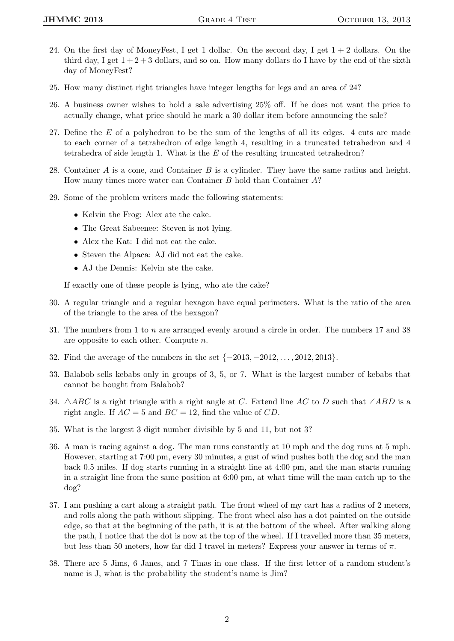- 24. On the first day of MoneyFest, I get 1 dollar. On the second day, I get  $1 + 2$  dollars. On the third day, I get  $1 + 2 + 3$  dollars, and so on. How many dollars do I have by the end of the sixth day of MoneyFest?
- 25. How many distinct right triangles have integer lengths for legs and an area of 24?
- 26. A business owner wishes to hold a sale advertising 25% off. If he does not want the price to actually change, what price should he mark a 30 dollar item before announcing the sale?
- 27. Define the E of a polyhedron to be the sum of the lengths of all its edges. 4 cuts are made to each corner of a tetrahedron of edge length 4, resulting in a truncated tetrahedron and 4 tetrahedra of side length 1. What is the  $E$  of the resulting truncated tetrahedron?
- 28. Container  $A$  is a cone, and Container  $B$  is a cylinder. They have the same radius and height. How many times more water can Container B hold than Container A?
- 29. Some of the problem writers made the following statements:
	- Kelvin the Frog: Alex ate the cake.
	- The Great Sabeenee: Steven is not lying.
	- Alex the Kat: I did not eat the cake.
	- Steven the Alpaca: AJ did not eat the cake.
	- AJ the Dennis: Kelvin ate the cake.

If exactly one of these people is lying, who ate the cake?

- 30. A regular triangle and a regular hexagon have equal perimeters. What is the ratio of the area of the triangle to the area of the hexagon?
- 31. The numbers from 1 to n are arranged evenly around a circle in order. The numbers 17 and 38 are opposite to each other. Compute n.
- 32. Find the average of the numbers in the set {−2013, −2012, . . . , 2012, 2013}.
- 33. Balabob sells kebabs only in groups of 3, 5, or 7. What is the largest number of kebabs that cannot be bought from Balabob?
- 34.  $\triangle ABC$  is a right triangle with a right angle at C. Extend line AC to D such that ∠ABD is a right angle. If  $AC = 5$  and  $BC = 12$ , find the value of CD.
- 35. What is the largest 3 digit number divisible by 5 and 11, but not 3?
- 36. A man is racing against a dog. The man runs constantly at 10 mph and the dog runs at 5 mph. However, starting at 7:00 pm, every 30 minutes, a gust of wind pushes both the dog and the man back 0.5 miles. If dog starts running in a straight line at 4:00 pm, and the man starts running in a straight line from the same position at 6:00 pm, at what time will the man catch up to the dog?
- 37. I am pushing a cart along a straight path. The front wheel of my cart has a radius of 2 meters, and rolls along the path without slipping. The front wheel also has a dot painted on the outside edge, so that at the beginning of the path, it is at the bottom of the wheel. After walking along the path, I notice that the dot is now at the top of the wheel. If I travelled more than 35 meters, but less than 50 meters, how far did I travel in meters? Express your answer in terms of  $\pi$ .
- 38. There are 5 Jims, 6 Janes, and 7 Tinas in one class. If the first letter of a random student's name is J, what is the probability the student's name is Jim?